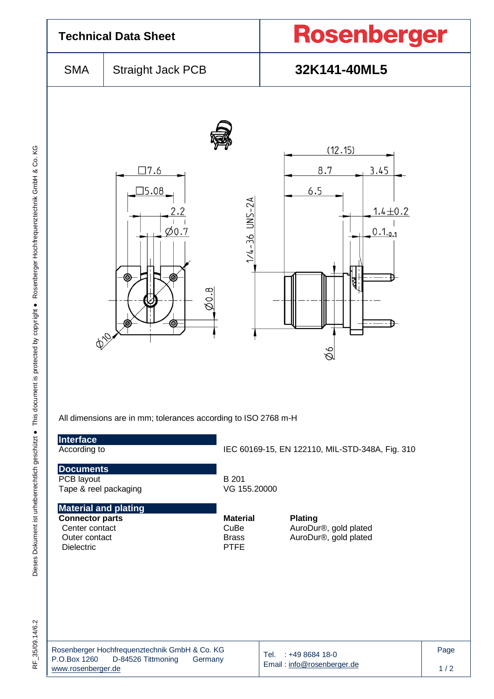| <b>Technical Data Sheet</b>                                                                                   |                                                                                                                                          |                                                        | Rosenberger                                                              |  |  |  |
|---------------------------------------------------------------------------------------------------------------|------------------------------------------------------------------------------------------------------------------------------------------|--------------------------------------------------------|--------------------------------------------------------------------------|--|--|--|
| <b>SMA</b>                                                                                                    | <b>Straight Jack PCB</b>                                                                                                                 |                                                        | 32K141-40ML5                                                             |  |  |  |
| D10                                                                                                           | $\square$ 7.6<br>15.08<br>$\varphi$ 0.7<br>Θ<br>$\varnothing$ 0.8<br>⊚<br>All dimensions are in mm; tolerances according to ISO 2768 m-H | 1/4-36 UNS-2A                                          | (12.15)<br>8.7<br>3.45<br>6.5<br>$1.4 \pm 0.2$<br>$0.1_{0.1}$<br>₹<br>9Ø |  |  |  |
| Interface<br>According to<br><b>Documents</b>                                                                 |                                                                                                                                          |                                                        | IEC 60169-15, EN 122110, MIL-STD-348A, Fig. 310                          |  |  |  |
| PCB layout<br>Tape & reel packaging                                                                           |                                                                                                                                          | B 201<br>VG 155.20000                                  |                                                                          |  |  |  |
| <b>Material and plating</b><br><b>Connector parts</b><br>Center contact<br>Outer contact<br><b>Dielectric</b> |                                                                                                                                          | <b>Material</b><br>CuBe<br><b>Brass</b><br><b>PTFE</b> | <b>Plating</b><br>AuroDur®, gold plated<br>AuroDur®, gold plated         |  |  |  |
|                                                                                                               |                                                                                                                                          |                                                        |                                                                          |  |  |  |

RF\_35/09.14/6.2

Rosenberger Hochfrequenztechnik GmbH & Co. KG P.O.Box 1260 D-84526 Tittmoning Germany [www.rosenberger.de](http://www.rosenberger.de/)

Tel. : +49 8684 18-0 Email [: info@rosenberger.de](mailto:info@rosenberger.de) Page  $1/2$